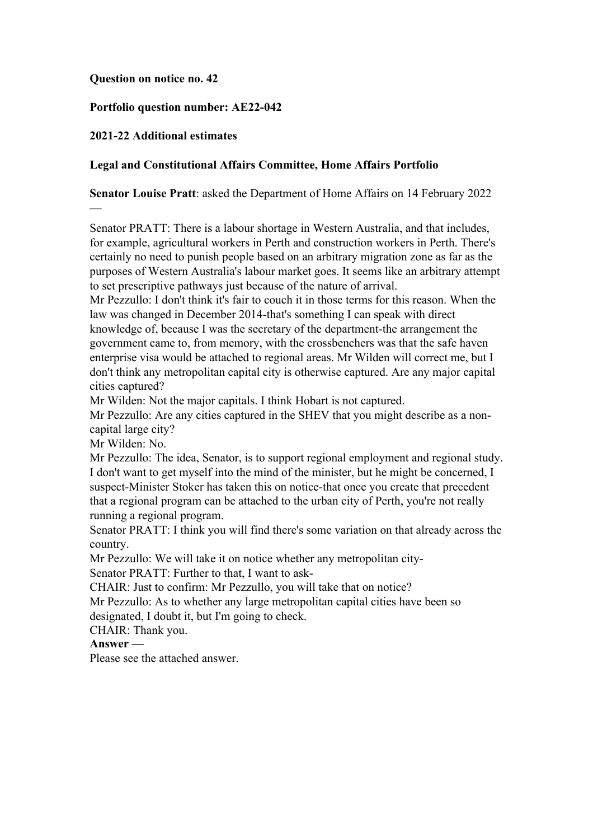#### **Question on notice no. 42**

### **Portfolio question number: AE22-042**

### **2021-22 Additional estimates**

### **Legal and Constitutional Affairs Committee, Home Affairs Portfolio**

**Senator Louise Pratt**: asked the Department of Home Affairs on 14 February 2022

Senator PRATT: There is a labour shortage in Western Australia, and that includes, for example, agricultural workers in Perth and construction workers in Perth. There's certainly no need to punish people based on an arbitrary migration zone as far as the purposes of Western Australia's labour market goes. It seems like an arbitrary attempt to set prescriptive pathways just because of the nature of arrival.

Mr Pezzullo: I don't think it's fair to couch it in those terms for this reason. When the law was changed in December 2014-that's something I can speak with direct knowledge of, because I was the secretary of the department-the arrangement the government came to, from memory, with the crossbenchers was that the safe haven enterprise visa would be attached to regional areas. Mr Wilden will correct me, but I don't think any metropolitan capital city is otherwise captured. Are any major capital cities captured?

Mr Wilden: Not the major capitals. I think Hobart is not captured.

Mr Pezzullo: Are any cities captured in the SHEV that you might describe as a noncapital large city?

Mr Wilden: No.

—

Mr Pezzullo: The idea, Senator, is to support regional employment and regional study. I don't want to get myself into the mind of the minister, but he might be concerned, I suspect-Minister Stoker has taken this on notice-that once you create that precedent that a regional program can be attached to the urban city of Perth, you're not really running a regional program.

Senator PRATT: I think you will find there's some variation on that already across the country.

Mr Pezzullo: We will take it on notice whether any metropolitan city-Senator PRATT: Further to that, I want to ask-

CHAIR: Just to confirm: Mr Pezzullo, you will take that on notice?

Mr Pezzullo: As to whether any large metropolitan capital cities have been so designated, I doubt it, but I'm going to check.

CHAIR: Thank you.

**Answer —**

Please see the attached answer.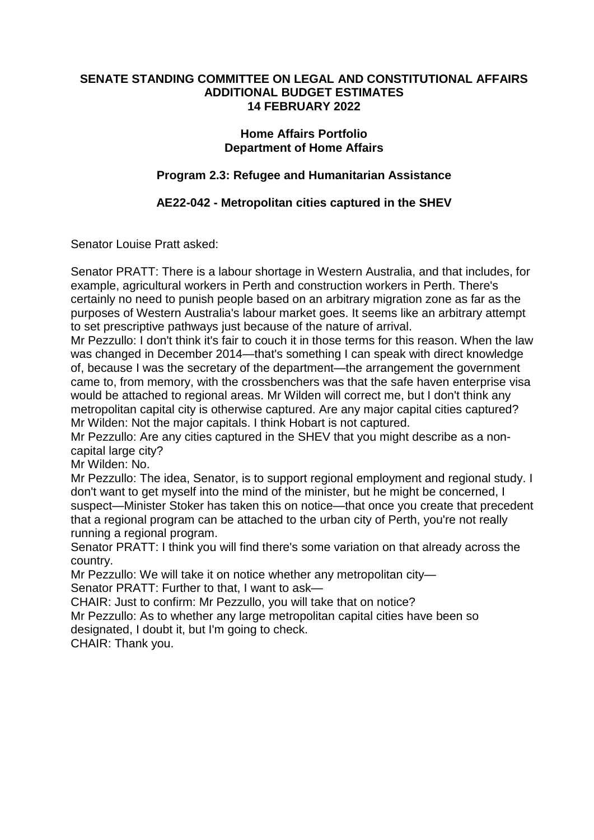### **SENATE STANDING COMMITTEE ON LEGAL AND CONSTITUTIONAL AFFAIRS ADDITIONAL BUDGET ESTIMATES 14 FEBRUARY 2022**

## **Home Affairs Portfolio Department of Home Affairs**

# **Program 2.3: Refugee and Humanitarian Assistance**

# **AE22-042 - Metropolitan cities captured in the SHEV**

Senator Louise Pratt asked:

Senator PRATT: There is a labour shortage in Western Australia, and that includes, for example, agricultural workers in Perth and construction workers in Perth. There's certainly no need to punish people based on an arbitrary migration zone as far as the purposes of Western Australia's labour market goes. It seems like an arbitrary attempt to set prescriptive pathways just because of the nature of arrival.

Mr Pezzullo: I don't think it's fair to couch it in those terms for this reason. When the law was changed in December 2014—that's something I can speak with direct knowledge of, because I was the secretary of the department—the arrangement the government came to, from memory, with the crossbenchers was that the safe haven enterprise visa would be attached to regional areas. Mr Wilden will correct me, but I don't think any metropolitan capital city is otherwise captured. Are any major capital cities captured? Mr Wilden: Not the major capitals. I think Hobart is not captured.

Mr Pezzullo: Are any cities captured in the SHEV that you might describe as a noncapital large city?

Mr Wilden: No.

Mr Pezzullo: The idea, Senator, is to support regional employment and regional study. I don't want to get myself into the mind of the minister, but he might be concerned, I suspect—Minister Stoker has taken this on notice—that once you create that precedent that a regional program can be attached to the urban city of Perth, you're not really running a regional program.

Senator PRATT: I think you will find there's some variation on that already across the country.

Mr Pezzullo: We will take it on notice whether any metropolitan city— Senator PRATT: Further to that, I want to ask—

CHAIR: Just to confirm: Mr Pezzullo, you will take that on notice?

Mr Pezzullo: As to whether any large metropolitan capital cities have been so designated, I doubt it, but I'm going to check.

CHAIR: Thank you.